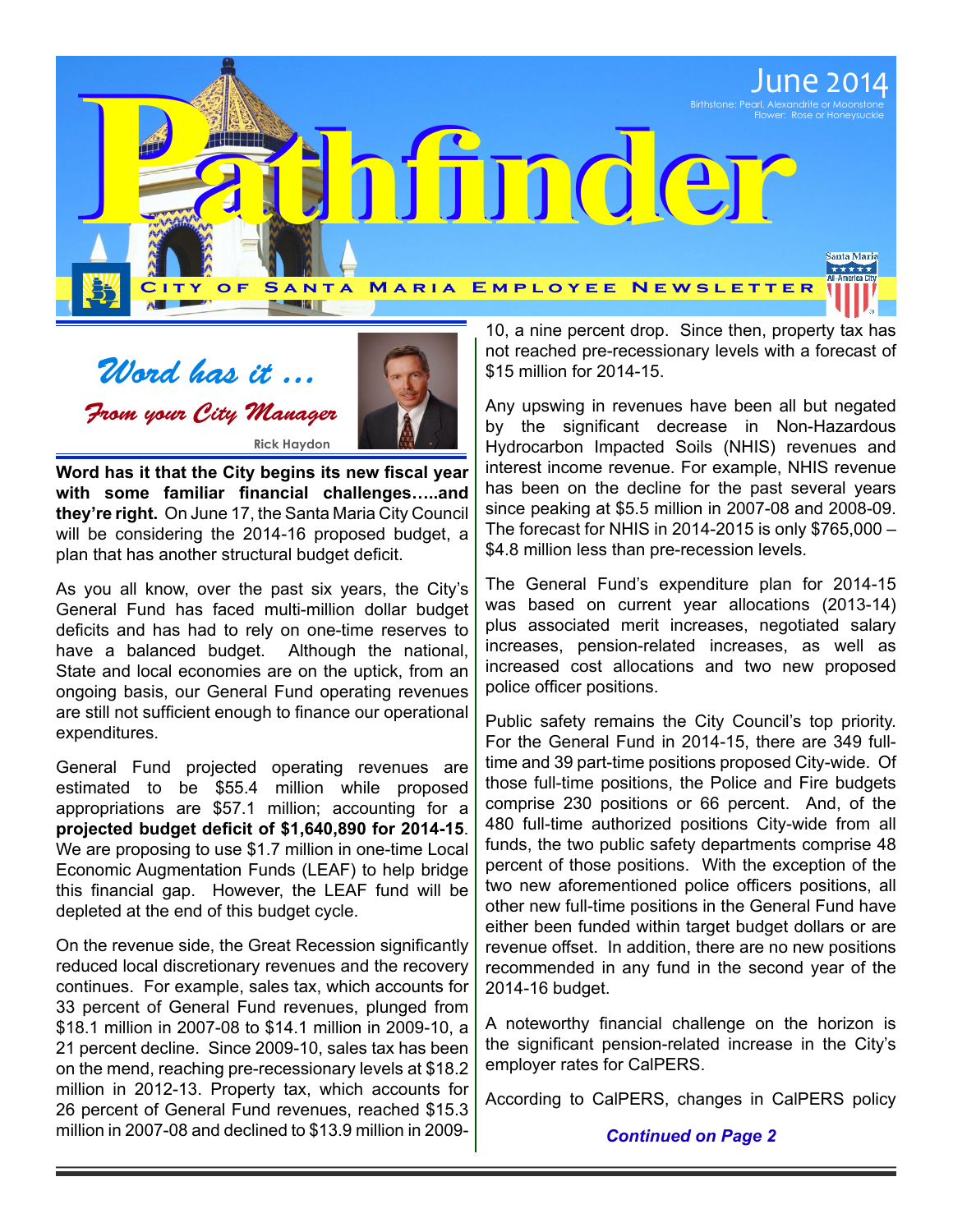

Word has it ... From your City Manager **Rick Haydon**



**Word has it that the City begins its new fiscal year with some familiar financial challenges…..and they're right.** On June 17, the Santa Maria City Council will be considering the 2014-16 proposed budget, a plan that has another structural budget deficit.

As you all know, over the past six years, the City's General Fund has faced multi-million dollar budget deficits and has had to rely on one-time reserves to have a balanced budget. Although the national, State and local economies are on the uptick, from an ongoing basis, our General Fund operating revenues are still not sufficient enough to finance our operational expenditures.

General Fund projected operating revenues are estimated to be \$55.4 million while proposed appropriations are \$57.1 million; accounting for a **projected budget deficit of \$1,640,890 for 2014-15**. We are proposing to use \$1.7 million in one-time Local Economic Augmentation Funds (LEAF) to help bridge this financial gap. However, the LEAF fund will be depleted at the end of this budget cycle.

On the revenue side, the Great Recession significantly reduced local discretionary revenues and the recovery continues. For example, sales tax, which accounts for 33 percent of General Fund revenues, plunged from \$18.1 million in 2007-08 to \$14.1 million in 2009-10, a 21 percent decline. Since 2009-10, sales tax has been on the mend, reaching pre‑recessionary levels at \$18.2 million in 2012-13. Property tax, which accounts for 26 percent of General Fund revenues, reached \$15.3 million in 2007‑08 and declined to \$13.9 million in 2009-

10, a nine percent drop. Since then, property tax has not reached pre-recessionary levels with a forecast of \$15 million for 2014-15.

Any upswing in revenues have been all but negated by the significant decrease in Non-Hazardous Hydrocarbon Impacted Soils (NHIS) revenues and interest income revenue. For example, NHIS revenue has been on the decline for the past several years since peaking at \$5.5 million in 2007-08 and 2008-09. The forecast for NHIS in 2014-2015 is only \$765,000 – \$4.8 million less than pre-recession levels.

The General Fund's expenditure plan for 2014-15 was based on current year allocations (2013-14) plus associated merit increases, negotiated salary increases, pension-related increases, as well as increased cost allocations and two new proposed police officer positions.

Public safety remains the City Council's top priority. For the General Fund in 2014-15, there are 349 fulltime and 39 part-time positions proposed City-wide. Of those full-time positions, the Police and Fire budgets comprise 230 positions or 66 percent. And, of the 480 full-time authorized positions City-wide from all funds, the two public safety departments comprise 48 percent of those positions. With the exception of the two new aforementioned police officers positions, all other new full-time positions in the General Fund have either been funded within target budget dollars or are revenue offset. In addition, there are no new positions recommended in any fund in the second year of the 2014-16 budget.

A noteworthy financial challenge on the horizon is the significant pension-related increase in the City's employer rates for CalPERS.

According to CalPERS, changes in CalPERS policy

## *Continued on Page 2*